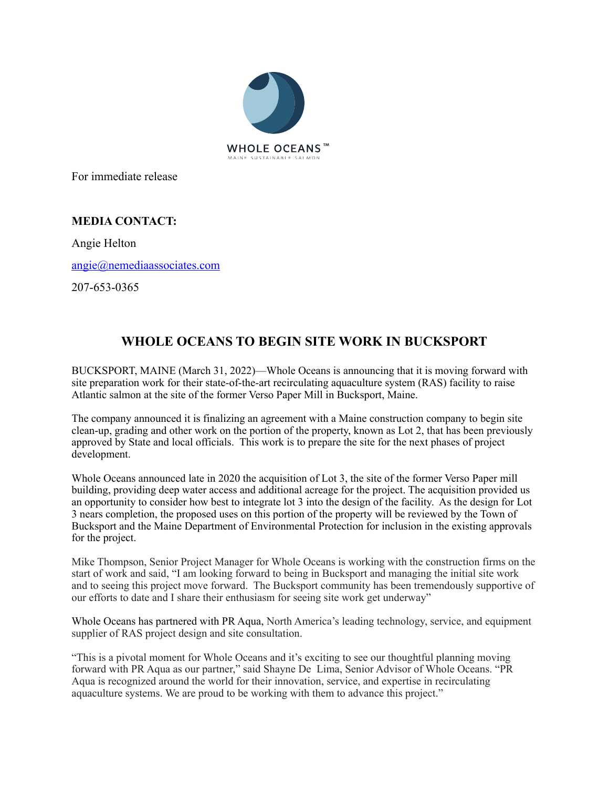

For immediate release

## **MEDIA CONTACT:**

Angie Helton

[angie@nemediaassociates.com](mailto:angie@nemediaassociates.com)

207-653-0365

## **WHOLE OCEANS TO BEGIN SITE WORK IN BUCKSPORT**

BUCKSPORT, MAINE (March 31, 2022)—Whole Oceans is announcing that it is moving forward with site preparation work for their state-of-the-art recirculating aquaculture system (RAS) facility to raise Atlantic salmon at the site of the former Verso Paper Mill in Bucksport, Maine.

The company announced it is finalizing an agreement with a Maine construction company to begin site clean-up, grading and other work on the portion of the property, known as Lot 2, that has been previously approved by State and local officials. This work is to prepare the site for the next phases of project development.

Whole Oceans announced late in 2020 the acquisition of Lot 3, the site of the former Verso Paper mill building, providing deep water access and additional acreage for the project. The acquisition provided us an opportunity to consider how best to integrate lot 3 into the design of the facility. As the design for Lot 3 nears completion, the proposed uses on this portion of the property will be reviewed by the Town of Bucksport and the Maine Department of Environmental Protection for inclusion in the existing approvals for the project.

Mike Thompson, Senior Project Manager for Whole Oceans is working with the construction firms on the start of work and said, "I am looking forward to being in Bucksport and managing the initial site work and to seeing this project move forward. The Bucksport community has been tremendously supportive of our efforts to date and I share their enthusiasm for seeing site work get underway"

Whole Oceans has partnered with PR Aqua, North America's leading technology, service, and equipment supplier of RAS project design and site consultation.

"This is a pivotal moment for Whole Oceans and it's exciting to see our thoughtful planning moving forward with PR Aqua as our partner," said Shayne De Lima, Senior Advisor of Whole Oceans. "PR Aqua is recognized around the world for their innovation, service, and expertise in recirculating aquaculture systems. We are proud to be working with them to advance this project."